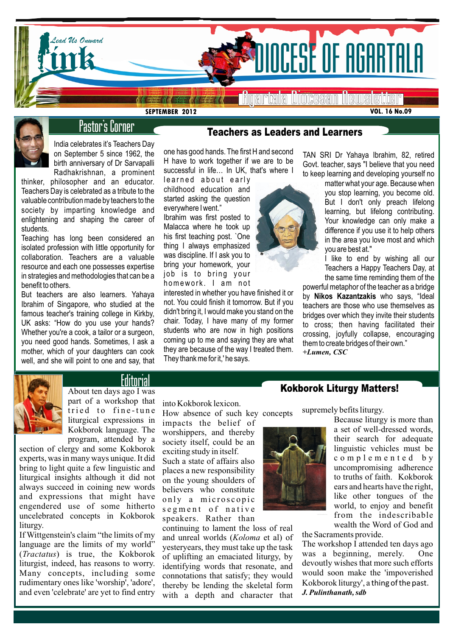

**SEPTEMBER 2012**



# Pastor's Corner

India celebrates it's Teachers Day on September 5 since 1962, the birth anniversary of Dr Sarvapalli Radhakrishnan, a prominent

thinker, philosopher and an educator. Teachers Day is celebrated as a tribute to the valuable contribution made by teachers to the society by imparting knowledge and enlightening and shaping the career of students.

Teaching has long been considered an isolated profession with little opportunity for collaboration. Teachers are a valuable resource and each one possesses expertise in strategies and methodologies that can be a benefit to others.

But teachers are also learners. Yahaya Ibrahim of Singapore, who studied at the famous teacher's training college in Kirkby, UK asks: "How do you use your hands? Whether you're a cook, a tailor or a surgeon, you need good hands. Sometimes, I ask a mother, which of your daughters can cook well, and she will point to one and say, that

# Teachers as Leaders and Learners

one has good hands. The first H and second H have to work together if we are to be successful in life... In UK, that's where I

learned about early childhood education and started asking the question everywhere I went."

Ibrahim was first posted to Malacca where he took up his first teaching post. `One thing I always emphasized was discipline. If I ask you to bring your homework, your job is to bring your homework. I am not

interested in whether you have finished it or not. You could finish it tomorrow. But if you didn't bring it, I would make you stand on the chair. Today, I have many of my former students who are now in high positions coming up to me and saying they are what they are because of the way I treated them. They thank me for it,' he says.

TAN SRI Dr Yahaya Ibrahim, 82, retired Govt. teacher, says "I believe that you need to keep learning and developing yourself no

matter what your age. Because when you stop learning, you become old. But I don't only preach lifelong learning, but lifelong contributing. Your knowledge can only make a difference if you use it to help others in the area you love most and which you are best at."

I like to end by wishing all our Teachers a Happy Teachers Day, at the same time reminding them of the

powerful metaphor of the teacher as a bridge by **Nikos Kazantzakis** who says, "Ideal teachers are those who use themselves as bridges over which they invite their students to cross; then having facilitated their crossing, joyfully collapse, encouraging them to create bridges of their own." *+Lumen, CSC*



# Editorial

About ten days ago I was part of a workshop that tried to fine-tune liturgical expressions in Kokborok language. The program, attended by a

section of clergy and some Kokborok experts, was in many ways unique. It did bring to light quite a few linguistic and liturgical insights although it did not always succeed in coining new words and expressions that might have engendered use of some hitherto uncelebrated concepts in Kokborok liturgy.

If Wittgenstein's claim "the limits of my language are the limits of my world" (*Tractatus*) is true, the Kokborok liturgist, indeed, has reasons to worry. Many concepts, including some rudimentary ones like 'worship', 'adore', and even 'celebrate' are yet to find entry

into Kokborok lexicon.

How absence of such key concepts impacts the belief of worshippers, and thereby society itself, could be an exciting study in itself. Such a state of affairs also places a new responsibility on the young shoulders of believers who constitute only a microscopic

segment of native speakers. Rather than

continuing to lament the loss of real and unreal worlds (*Koloma* et al) of yesteryears, they must take up the task of uplifting an emaciated liturgy, by identifying words that resonate, and connotations that satisfy; they would thereby be lending the skeletal form with a depth and character that

Kokborok Liturgy Matters!

supremely befits liturgy.

Because liturgy is more than a set of well-dressed words, their search for adequate linguistic vehicles must be c o m p l e m e n t e d b y uncompromising adherence to truths of faith. Kokborok ears and hearts have the right, like other tongues of the world, to enjoy and benefit from the indescribable wealth the Word of God and

the Sacraments provide.

The workshop I attended ten days ago was a beginning, merely. One devoutly wishes that more such efforts would soon make the 'impoverished Kokborok liturgy', a thing of the past. *J. Pulinthanath, sdb*

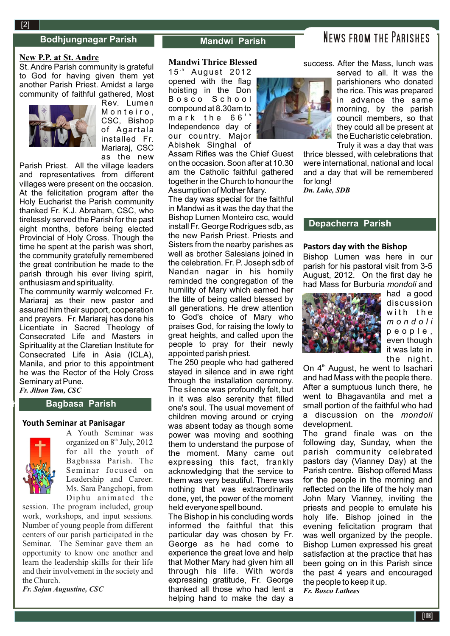### **Bodhjungnagar Parish Mandwi Parish**

### **New P.P. at St. Andre**

**2**[2]

St. Andre Parish community is grateful to God for having given them yet another Parish Priest. Amidst a large community of faithful gathered, Most



Rev. Lumen Monteiro. CSC, Bishop of Agartala installed Fr. Mariaraj, CSC as the new

Parish Priest. All the village leaders and representatives from different villages were present on the occasion. At the felicitation program after the Holy Eucharist the Parish community thanked Fr. K.J. Abraham, CSC, who tirelessly served the Parish for the past eight months, before being elected Provincial of Holy Cross. Though the time he spent at the parish was short, the community gratefully remembered the great contribution he made to the parish through his ever living spirit, enthusiasm and spirituality.

The community warmly welcomed Fr. Mariaraj as their new pastor and assured him their support, cooperation and prayers. Fr. Mariaraj has done his Licentiate in Sacred Theology of Consecrated Life and Masters in Spirituality at the Claretian Institute for Consecrated Life in Asia (ICLA), Manila, and prior to this appointment he was the Rector of the Holy Cross Seminary at Pune. *Fr. Jilson Tom, CSC*

**Bagbasa Parish**

### **Youth Seminar at Panisagar**



 $\mathbb{R}^2$ 

A Youth Seminar was organized on 8<sup>th</sup> July, 2012 for all the youth of Bagbassa Parish. The Seminar focused on Leadership and Career. Ms. Sara Pangchopi, from Diphu animated the

session. The program included, group work, workshops, and input sessions. Number of young people from different centers of our parish participated in the Seminar. The Seminar gave them an opportunity to know one another and learn the leadership skills for their life and their involvement in the society and the Church.

*Fr. Sojan Augustine, CSC* 

#### **Mandwi Thrice Blessed**

15<sup>th</sup> August 2012 opened with the flag hoisting in the Don B o s c o S c h o o l compound at 8.30am to mark the  $66<sup>th</sup>$ Independence day of our country. Major Abishek Singhal of

Assam Rifles was the Chief Guest on the occasion. Soon after at 10.30 am the Catholic faithful gathered together in the Church to honour the Assumption of Mother Mary.

The day was special for the faithful in Mandwi as it was the day that the Bishop Lumen Monteiro csc, would install Fr. George Rodrigues sdb, as the new Parish Priest. Priests and Sisters from the nearby parishes as well as brother Salesians joined in the celebration. Fr. P. Joseph sdb of Nandan nagar in his homily reminded the congregation of the humility of Mary which earned her the title of being called blessed by all generations. He drew attention to God's choice of Mary who praises God, for raising the lowly to great heights, and called upon the people to pray for their newly appointed parish priest.

The 250 people who had gathered stayed in silence and in awe right through the installation ceremony. The silence was profoundly felt, but in it was also serenity that filled one's soul. The usual movement of children moving around or crying was absent today as though some power was moving and soothing them to understand the purpose of the moment. Many came out expressing this fact, frankly acknowledging that the service to them was very beautiful. There was nothing that was extraordinarily done, yet, the power of the moment held everyone spell bound.

The Bishop in his concluding words informed the faithful that this particular day was chosen by Fr. George as he had come to experience the great love and help that Mother Mary had given him all through his life. With words expressing gratitude, Fr. George thanked all those who had lent a helping hand to make the day a



success. After the Mass, lunch was

served to all. It was the parishioners who donated the rice. This was prepared in advance the same morning, by the parish council members, so that they could all be present at the Eucharistic celebration. Truly it was a day that was

thrice blessed, with celebrations that were international, national and local and a day that will be remembered for long!

*Dn. Luke, SDB*

### **Depacherra Parish**

#### **Pastors day with the Bishop**

Bishop Lumen was here in our parish for his pastoral visit from 3-5 August, 2012. On the first day he had Mass for Burburia *mondoli* and



had a good discussion with the *m o n d o l i* p e o p l e , even though it was late in the night.

On 4<sup>th</sup> August, he went to Isachari and had Mass with the people there. After a sumptuous lunch there, he went to Bhagavantila and met a small portion of the faithful who had a discussion on the *mondoli* development.

The grand finale was on the following day, Sunday, when the parish community celebrated pastors day (Vianney Day) at the Parish centre. Bishop offered Mass for the people in the morning and reflected on the life of the holy man John Mary Vianney, inviting the priests and people to emulate his holy life. Bishop joined in the evening felicitation program that was well organized by the people. Bishop Lumen expressed his great satisfaction at the practice that has been going on in this Parish since the past 4 years and encouraged the people to keep it up. *Fr. Bosco Lathees*

# News from the Parishes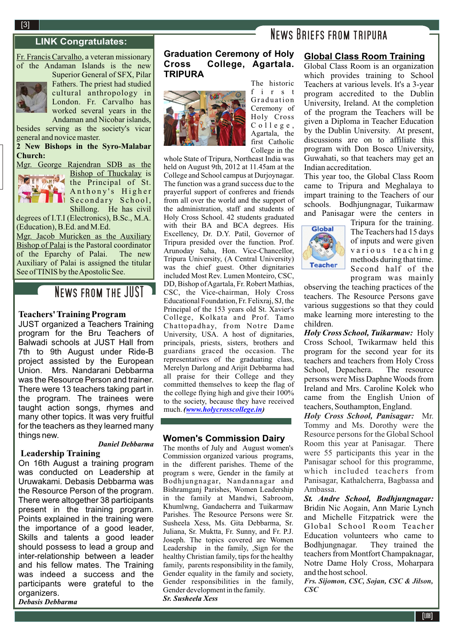# **NEWS BRIEFS FROM TRIPURA**

Fr. Francis Carvalho, a veteran missionary of the Andaman Islands is the new Superior General of SFX, Pilar



Fathers. The priest had studied cultural anthropology in London. Fr. Carvalho has worked several years in the Andaman and Nicobar islands,

besides serving as the society's vicar general and novice master.

**2 New Bishops in the Syro-Malabar Church:** 

Mgr. George Rajendran SDB as the



Bishop of Thuckalay is the Principal of St. Anthony's Higher Secondary School, Shillong. He has civil

degrees of I.T.I (Electronics), B.Sc., M.A. (Education), B.Ed. and M.Ed.

Mgr. Jacob Muricken as the Auxiliary Bishop of Palai is the Pastoral coordinator of the Eparchy of Palai. The new Auxiliary of Palai is assigned the titular See of TINIS by the Apostolic See.

# NEWS FROM THE JUST

## **Teachers' Training Program**

JUST organized a Teachers Training program for the Bru Teachers of Balwadi schools at JUST Hall from 7th to 9th August under Ride-B project assisted by the European Union. Mrs. Nandarani Debbarma was the Resource Person and trainer. There were 13 teachers taking part in the program. The trainees were taught action songs, rhymes and many other topics. It was very fruitful for the teachers as they learned many things new.

#### *Daniel Debbarma*

#### **Leadership Training**

On 16th August a training program was conducted on Leadership at Uruwakami. Debasis Debbarma was the Resource Person of the program. There were altogether 38 participants present in the training program. Points explained in the training were the importance of a good leader, Skills and talents a good leader should possess to lead a group and inter-relationship between a leader and his fellow mates. The Training was indeed a success and the participants were grateful to the organizers.

*Debasis Debbarma*

# **Graduation Ceremony of Holy Cross College, Agartala. TRIPURA**



The historic f i r s t Graduation Ceremony of Holy Cross  $C$  o  $11$  e g e, Agartala, the first Catholic College in the

whole State of Tripura, Northeast India was held on August 9th, 2012 at 11.45am at the College and School campus at Durjoynagar. The function was a grand success due to the prayerful support of confreres and friends from all over the world and the support of the administration, staff and students of Holy Cross School. 42 students graduated with their BA and BCA degrees. His Excellency, Dr. D.Y. Patil, Governor of Tripura presided over the function. Prof. Arunoday Saha, Hon. Vice-Chancellor, Tripura University, (A Central University) was the chief guest. Other dignitaries included Most Rev. Lumen Monteiro, CSC, DD, Bishop of Agartala, Fr. Robert Mathias, CSC, the Vice-chairman, Holy Cross Educational Foundation, Fr. Felixraj, SJ, the Principal of the 153 years old St. Xavier's College, Kolkata and Prof. Tamo Chattopadhay, from Notre Dame University, USA. A host of dignitaries, principals, priests, sisters, brothers and guardians graced the occasion. The representatives of the graduating class, Merelyn Darlong and Arijit Debbarma had all praise for their College and they committed themselves to keep the flag of the college flying high and give their 100% to the society, because they have received much. *(www.holycrosscollege.in)*

### **Women's Commission Dairy**

The months of July and August women's Commission organized various programs, in the different parishes. Theme of the program s were, Gender in the family at Bodhjungnagar, Nandannagar and Bishramganj Parishes, Women Leadership in the family at Mandwi, Sabroom, Khumlwng, Gandacherra and Tuikarmaw Parishes. The Resource Persons were Sr. Susheela Xess, Ms. Gita Debbarma, Sr. Juliana, Sr. Muktta, Fr. Sunny, and Fr. P.J. Joseph. The topics covered are Women Leadership in the family, ,Sign for the healthy Christian family, tips for the healthy family, parents responsibility in the family, Gender equality in the family and society, Gender responsibilities in the family, Gender development in the family. *Sr. Susheela Xess*

# **Global Class Room Training**

Global Class Room is an organization which provides training to School Teachers at various levels. It's a 3-year program accredited to the Dublin University, Ireland. At the completion of the program the Teachers will be given a Diploma in Teacher Education by the Dublin University. At present, discussions are on to affiliate this program with Don Bosco University, Guwahati, so that teachers may get an Indian accreditation.

This year too, the Global Class Room came to Tripura and Meghalaya to impart training to the Teachers of our schools. Bodhjungnagar, Tuikarmaw and Panisagar were the centers in



Tripura for the training. The Teachers had 15 days of inputs and were given various teaching methods during that time. Second half of the program was mainly

observing the teaching practices of the teachers. The Resource Persons gave various suggestions so that they could make learning more interesting to the children.

*Holy Cross School, Tuikarmaw:* Holy Cross School, Twikarmaw held this program for the second year for its teachers and teachers from Holy Cross<br>School, Depachera. The resource School, Depachera. persons were Miss Daphne Woods from Ireland and Mrs. Caroline Kolek who came from the English Union of teachers, Southampton, England.

*Holy Cross School, Panisagar:* Mr. Tommy and Ms. Dorothy were the Resource persons for the Global School Room this year at Panisagar. There were 55 participants this year in the Panisagar school for this programme, which included teachers from Panisagar, Kathalcherra, Bagbassa and Ambassa.

*St. Andre School, Bodhjungnagar:* Bridin Nic Aogain, Ann Marie Lynch and Michelle Fitzpatrick were the Global School Room Teacher Education volunteers who came to Bodhjungnagar. They trained the teachers from Montfort Champaknagar, Notre Dame Holy Cross, Moharpara and the host school.

*Frs. Sijomon, CSC, Sojan, CSC & Jilson, CSC*